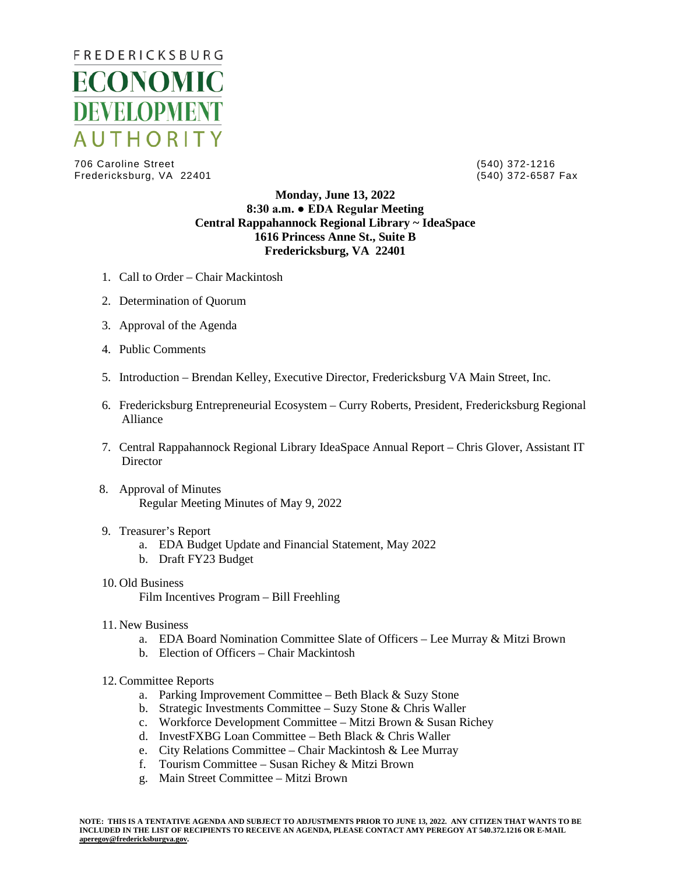

706 Caroline Street (540) 372-1216 Fredericksburg, VA 22401

## **Monday, June 13, 2022 8:30 a.m. ● EDA Regular Meeting Central Rappahannock Regional Library ~ IdeaSpace 1616 Princess Anne St., Suite B Fredericksburg, VA 22401**

- 1. Call to Order Chair Mackintosh
- 2. Determination of Quorum
- 3. Approval of the Agenda
- 4. Public Comments
- 5. Introduction Brendan Kelley, Executive Director, Fredericksburg VA Main Street, Inc.
- 6. Fredericksburg Entrepreneurial Ecosystem Curry Roberts, President, Fredericksburg Regional Alliance
- 7. Central Rappahannock Regional Library IdeaSpace Annual Report Chris Glover, Assistant IT **Director**
- 8. Approval of Minutes Regular Meeting Minutes of May 9, 2022

## 9. Treasurer's Report

- a. EDA Budget Update and Financial Statement, May 2022
- b. Draft FY23 Budget
- 10. Old Business Film Incentives Program – Bill Freehling
- 11. New Business
	- a. EDA Board Nomination Committee Slate of Officers Lee Murray & Mitzi Brown
	- b. Election of Officers Chair Mackintosh
- 12. Committee Reports
	- a. Parking Improvement Committee Beth Black & Suzy Stone
	- b. Strategic Investments Committee Suzy Stone & Chris Waller
	- c. Workforce Development Committee Mitzi Brown & Susan Richey
	- d. InvestFXBG Loan Committee Beth Black & Chris Waller
	- e. City Relations Committee Chair Mackintosh & Lee Murray
	- f. Tourism Committee Susan Richey & Mitzi Brown
	- g. Main Street Committee Mitzi Brown